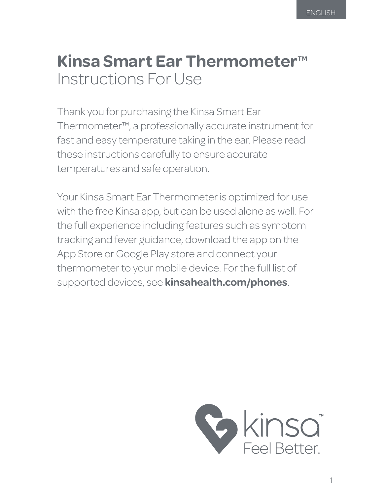# **Kinsa Smart Ear Thermometer<sup>™</sup>** Instructions For Use

Thank you for purchasing the Kinsa Smart Ear Thermometer™, a professionally accurate instrument for fast and easy temperature taking in the ear. Please read these instructions carefully to ensure accurate temperatures and safe operation.

Your Kinsa Smart Ear Thermometer is optimized for use with the free Kinsa app, but can be used alone as well. For the full experience including features such as symptom tracking and fever guidance, download the app on the App Store or Google Play store and connect your thermometer to your mobile device. For the full list of supported devices, see **kinsahealth.com/phones**.

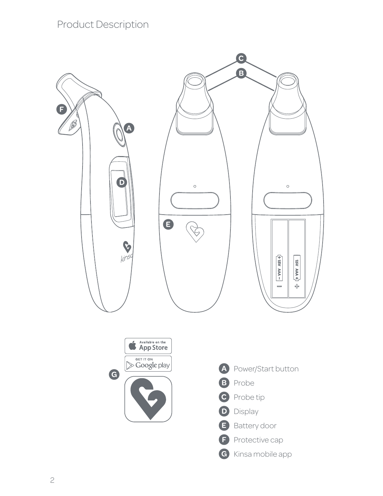# Product Description

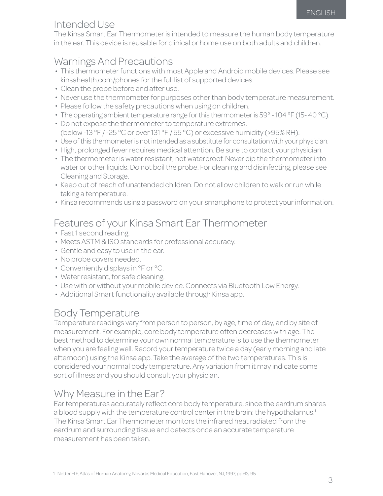# Intended Use

The Kinsa Smart Ear Thermometer is intended to measure the human body temperature in the ear. This device is reusable for clinical or home use on both adults and children.

### Warnings And Precautions

- This thermometer functions with most Apple and Android mobile devices. Please see kinsahealth.com/phones for the full list of supported devices.
- Clean the probe before and after use. •
- Never use the thermometer for purposes other than body temperature measurement.
- Please follow the safety precautions when using on children.
- The operating ambient temperature range for this thermometer is 59° 104 °F (15-40 °C).
- Do not expose the thermometer to temperature extremes: (below -13 °F / -25 °C or over 131 °F / 55 °C) or excessive humidity (>95% RH).
- Use of this thermometer is not intended as a substitute for consultation with your physician.
- High, prolonged fever requires medical attention. Be sure to contact your physician.
- The thermometer is water resistant, not waterproof. Never dip the thermometer into water or other liquids. Do not boil the probe. For cleaning and disinfecting, please see Cleaning and Storage.
- Keep out of reach of unattended children. Do not allow children to walk or run while taking a temperature.
- Kinsa recommends using a password on your smartphone to protect your information.

# Features of your Kinsa Smart Ear Thermometer

- Fast 1 second reading.
- Meets ASTM & ISO standards for professional accuracy.
- Gentle and easy to use in the ear. •
- No probe covers needed.
- Conveniently displays in °F or °C.
- Water resistant, for safe cleaning. •
- Use with or without your mobile device. Connects via Bluetooth Low Energy.
- Additional Smart functionality available through Kinsa app.

# Body Temperature

Temperature readings vary from person to person, by age, time of day, and by site of measurement. For example, core body temperature often decreases with age. The best method to determine your own normal temperature is to use the thermometer when you are feeling well. Record your temperature twice a day (early morning and late afternoon) using the Kinsa app. Take the average of the two temperatures. This is considered your normal body temperature. Any variation from it may indicate some sort of illness and you should consult your physician.

#### Why Measure in the Ear?

Ear temperatures accurately reflect core body temperature, since the eardrum shares a blood supply with the temperature control center in the brain: the hypothalamus.<sup>1</sup> The Kinsa Smart Ear Thermometer monitors the infrared heat radiated from the eardrum and surrounding tissue and detects once an accurate temperature measurement has been taken.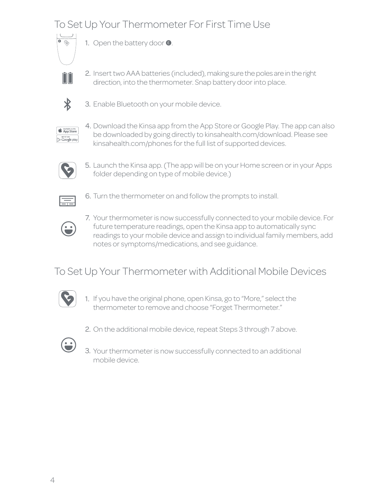# To Set Up Your Thermometer For First Time Use



1. Open the battery door  $\bullet$ .



2. Insert two AAA batteries (included), making sure the poles are in the right direction, into the thermometer. Snap battery door into place.



3. Enable Bluetooth on your mobile device.

App Store 

4. Download the Kinsa app from the App Store or Google Play. The app can also be downloaded by going directly to kinsahealth.com/download. Please see kinsahealth.com/phones for the full list of supported devices.



5. Launch the Kinsa app. (The app will be on your Home screen or in your Apps folder depending on type of mobile device.)



6. Turn the thermometer on and follow the prompts to install.

7. Your thermometer is now successfully connected to your mobile device. For future temperature readings, open the Kinsa app to automatically sync readings to your mobile device and assign to individual family members, add notes or symptoms/medications, and see guidance.

# To Set Up Your Thermometer with Additional Mobile Devices



- 1. If you have the original phone, open Kinsa, go to "More," select the thermometer to remove and choose "Forget Thermometer."
- 2. On the additional mobile device, repeat Steps 3 through 7 above.



3. Your thermometer is now successfully connected to an additional mobile device.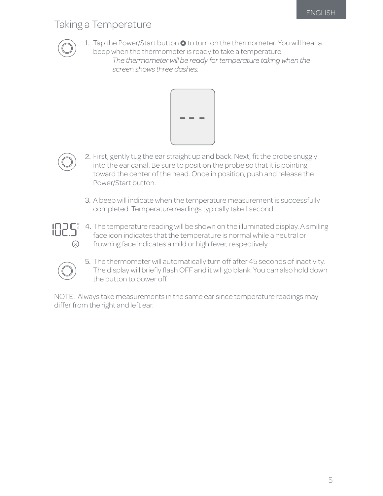### Taking a Temperature



1. Tap the Power/Start button @ to turn on the thermometer. You will hear a beep when the thermometer is ready to take a temperature.

*The thermometer will be ready for temperature taking when the screen shows three dashes.*





2. First, gently tug the ear straight up and back. Next, fit the probe snuggly into the ear canal. Be sure to position the probe so that it is pointing toward the center of the head. Once in position, push and release the Power/Start button.

3. A beep will indicate when the temperature measurement is successfully completed. Temperature readings typically take 1 second.



The temperature reading will be shown on the illuminated display. A smiling 4. face icon indicates that the temperature is normal while a neutral or frowning face indicates a mild or high fever, respectively.



5. The thermometer will automatically turn off after 45 seconds of inactivity. The display will briefly flash OFF and it will go blank. You can also hold down the button to power off.

NOTE: Always take measurements in the same ear since temperature readings may differ from the right and left ear.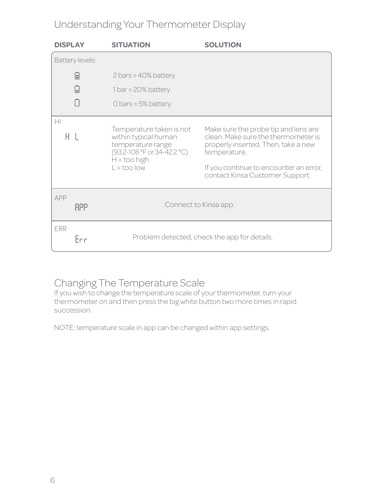# Understanding Your Thermometer Display

| <b>DISPLAY</b>    | <b>SITUATION</b>                                                                                                                                      | <b>SOLUTION</b>                                                                                                                                                                                                 |  |  |
|-------------------|-------------------------------------------------------------------------------------------------------------------------------------------------------|-----------------------------------------------------------------------------------------------------------------------------------------------------------------------------------------------------------------|--|--|
| Battery levels:   |                                                                                                                                                       |                                                                                                                                                                                                                 |  |  |
| 凬                 | $2 \text{ bars} = 40\%$ battery                                                                                                                       |                                                                                                                                                                                                                 |  |  |
| U                 | $1 bar = 20\% battery$                                                                                                                                |                                                                                                                                                                                                                 |  |  |
|                   | 0 bars = $5\%$ battery                                                                                                                                |                                                                                                                                                                                                                 |  |  |
| H<br>ΗL           | Temperature taken is not<br>within typical human<br>temperature range<br>(93.2-108 °F or 34-42.2 °C)<br>$H = \text{too high}$<br>$L = \text{too}$ low | Make sure the probe tip and lens are<br>clean. Make sure the thermometer is<br>properly inserted. Then, take a new<br>temperature.<br>If you continue to encounter an error,<br>contact Kinsa Customer Support. |  |  |
| APP<br><b>RPP</b> |                                                                                                                                                       | Connect to Kinsa app.                                                                                                                                                                                           |  |  |
| <b>ERR</b><br>Enn |                                                                                                                                                       | Problem detected, check the app for details.                                                                                                                                                                    |  |  |

# Changing The Temperature Scale

If you wish to change the temperature scale of your thermometer, turn your thermometer on and then press the big white button two more times in rapid succession.

NOTE: temperature scale in app can be changed within app settings.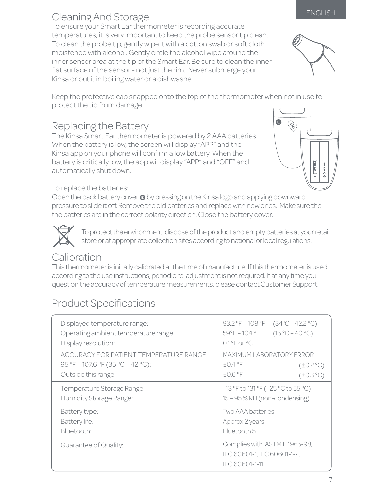To ensure your Smart Ear thermometer is recording accurate temperatures, it is very important to keep the probe sensor tip clean. To clean the probe tip, gently wipe it with a cotton swab or soft cloth moistened with alcohol. Gently circle the alcohol wipe around the inner sensor area at the tip of the Smart Ear. Be sure to clean the inner flat surface of the sensor - not just the rim. Never submerge your Kinsa or put it in boiling water or a dishwasher.

Keep the protective cap snapped onto the top of the thermometer when not in use to protect the tip from damage.

# Replacing the Battery

The Kinsa Smart Ear thermometer is powered by 2 AAA batteries. When the battery is low, the screen will display "APP" and the Kinsa app on your phone will confirm a low battery. When the battery is critically low, the app will display "APP" and "OFF" and automatically shut down.

#### To replace the batteries:

Open the back battery cover  $\bullet$  by pressing on the Kinsa logo and applying downward pressure to slide it off. Remove the old batteries and replace with new ones. Make sure the the batteries are in the correct polarity direction. Close the battery cover.

To protect the environment, dispose of the product and empty batteries at your retail store or at appropriate collection sites according to national or local regulations.

#### Calibration

This thermometer is initially calibrated at the time of manufacture. If this thermometer is used according to the use instructions, periodic re-adjustment is not required. If at any time you question the accuracy of temperature measurements, please contact Customer Support.

# Product Specifications

| Displayed temperature range:<br>Operating ambient temperature range:<br>Display resolution:        | 93.2 °F - 108 °F<br>$(34^{\circ}C - 42.2^{\circ}C)$<br>$(15 °C - 40 °C)$<br>59°F-104°F<br>$0.1^{\circ}$ F or $^{\circ}$ C |
|----------------------------------------------------------------------------------------------------|---------------------------------------------------------------------------------------------------------------------------|
| ACCURACY FOR PATIENT TEMPERATURE RANGE<br>95 °F - 107.6 °F (35 °C - 42 °C):<br>Outside this range: | MAXIMUM LABORATORY ERROR<br>$\pm$ 0.4 °F<br>$(\pm 0.2^{\circ}C)$<br>$±0.6$ °F<br>$(\pm 0.3 \degree C)$                    |
| Temperature Storage Range:<br>Humidity Storage Range:                                              | $-13$ °F to 131 °F ( $-25$ °C to 55 °C)<br>15 - 95 % RH (non-condensing)                                                  |
| Battery type:<br>Battery life:<br>Bluetooth:                                                       | Two AAA batteries<br>Approx 2 years<br>Bluetooth 5                                                                        |
| Guarantee of Quality:                                                                              | Complies with ASTM E1965-98,<br>IEC 60601-1, IEC 60601-1-2,<br>IEC 60601-1-11                                             |